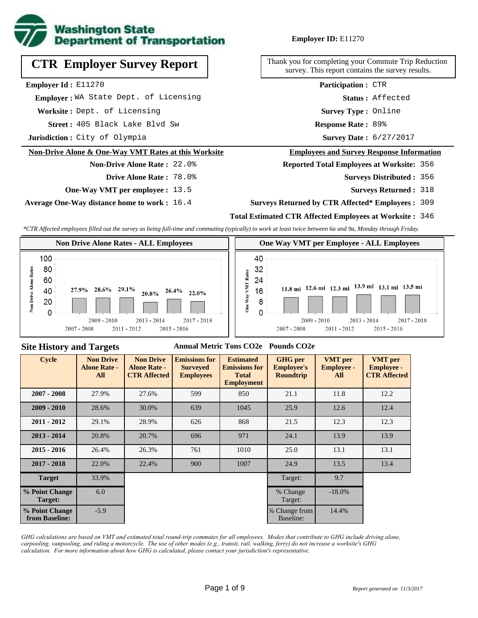

# **CTR Employer Survey Report**

**Employer Id :** E11270

 **Employer :** WA State Dept. of Licensing

**Worksite :** Dept. of Licensing

405 Black Lake Blvd Sw **Response Rate : Street :**

**Jurisdiction :** City of Olympia

#### **Non-Drive Alone & One-Way VMT Rates at this Worksite**

## **Drive Alone Rate :** 78.0%

**Non-Drive Alone Rate :** 22.0%

**One-Way VMT per employee :** 13.5

**Average One-Way distance home to work :** 16.4

#### **Employer ID:** E11270

Thank you for completing your Commute Trip Reduction survey. This report contains the survey results.

> **Survey Type :** Online **Status :** Affected **Participation :** CTR

Response Rate: 89%

Survey Date: 6/27/2017

#### **Employees and Survey Response Information**

**Reported Total Employees at Worksite:** 356

356 **Surveys Distributed :**

**Surveys Returned :** 318

#### **Surveys Returned by CTR Affected\* Employees :** 309

#### **Total Estimated CTR Affected Employees at Worksite :** 346

*\*CTR Affected employees filled out the survey as being full-time and commuting (typically) to work at least twice between 6a and 9a, Monday through Friday.*



#### **Site History and Targets**

#### **Annual Metric Tons CO2e Pounds CO2e**

| <b>Cycle</b>                     | <b>Non Drive</b><br><b>Alone Rate -</b><br>All | <b>Non Drive</b><br><b>Alone Rate -</b><br><b>CTR Affected</b> | <b>Emissions for</b><br><b>Surveyed</b><br><b>Employees</b> | <b>Estimated</b><br><b>Emissions for</b><br><b>Total</b><br><b>Employment</b> | <b>GHG</b> per<br><b>Employee's</b><br><b>Roundtrip</b> | <b>VMT</b> per<br><b>Employee -</b><br>All | <b>VMT</b> per<br><b>Employee -</b><br><b>CTR Affected</b> |
|----------------------------------|------------------------------------------------|----------------------------------------------------------------|-------------------------------------------------------------|-------------------------------------------------------------------------------|---------------------------------------------------------|--------------------------------------------|------------------------------------------------------------|
| $2007 - 2008$                    | 27.9%                                          | 27.6%<br>599                                                   |                                                             | 850                                                                           | 21.1                                                    | 11.8                                       | 12.2                                                       |
| $2009 - 2010$                    | 28.6%                                          | 30.0%                                                          | 639                                                         | 1045                                                                          | 25.9                                                    | 12.6                                       | 12.4                                                       |
| $2011 - 2012$                    | 29.1%                                          | 28.9%                                                          | 626                                                         | 868                                                                           | 12.3<br>21.5                                            |                                            | 12.3                                                       |
| $2013 - 2014$                    | 20.8%                                          | 20.7%                                                          | 696                                                         | 971                                                                           | 24.1                                                    | 13.9                                       | 13.9                                                       |
| $2015 - 2016$                    | 26.4%                                          | 26.3%                                                          | 761                                                         | 1010                                                                          | 25.0                                                    | 13.1                                       | 13.1                                                       |
| $2017 - 2018$                    | 22.0%                                          | 22.4%                                                          | 900                                                         | 1007                                                                          | 24.9                                                    | 13.5                                       | 13.4                                                       |
| <b>Target</b>                    | 33.9%                                          |                                                                |                                                             |                                                                               | Target:                                                 | 9.7                                        |                                                            |
| % Point Change<br>Target:        | 6.0                                            |                                                                |                                                             |                                                                               | % Change<br>Target:                                     | $-18.0\%$                                  |                                                            |
| % Point Change<br>from Baseline: | $-5.9$                                         |                                                                |                                                             |                                                                               | % Change from<br>Baseline:                              | 14.4%                                      |                                                            |

*GHG calculations are based on VMT and estimated total round-trip commutes for all employees. Modes that contribute to GHG include driving alone, carpooling, vanpooling, and riding a motorcycle. The use of other modes (e.g., transit, rail, walking, ferry) do not increase a worksite's GHG calculation. For more information about how GHG is calculated, please contact your jurisdiction's representative.*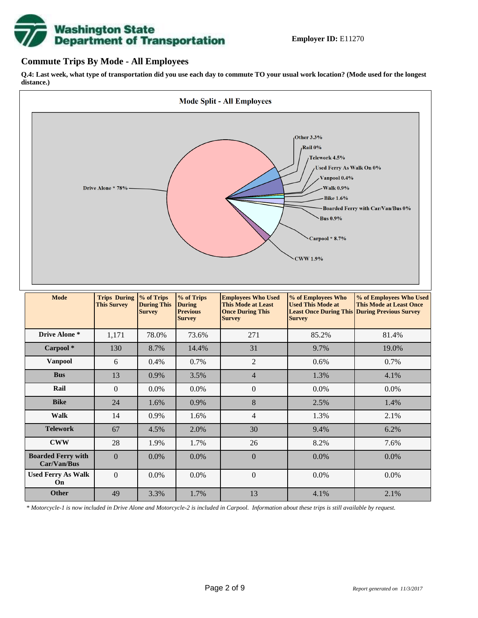# **Washington State<br>Department of Transportation**

## **Commute Trips By Mode - All Employees**

**Q.4: Last week, what type of transportation did you use each day to commute TO your usual work location? (Mode used for the longest distance.)**



*\* Motorcycle-1 is now included in Drive Alone and Motorcycle-2 is included in Carpool. Information about these trips is still available by request.*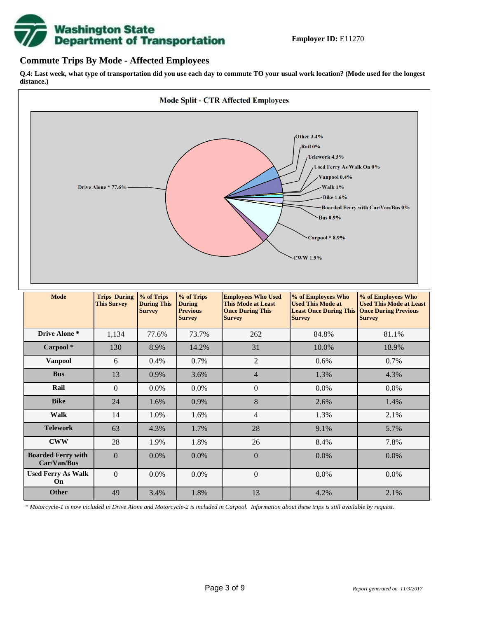

## **Commute Trips By Mode - Affected Employees**

**Q.4: Last week, what type of transportation did you use each day to commute TO your usual work location? (Mode used for the longest distance.)**



*\* Motorcycle-1 is now included in Drive Alone and Motorcycle-2 is included in Carpool. Information about these trips is still available by request.*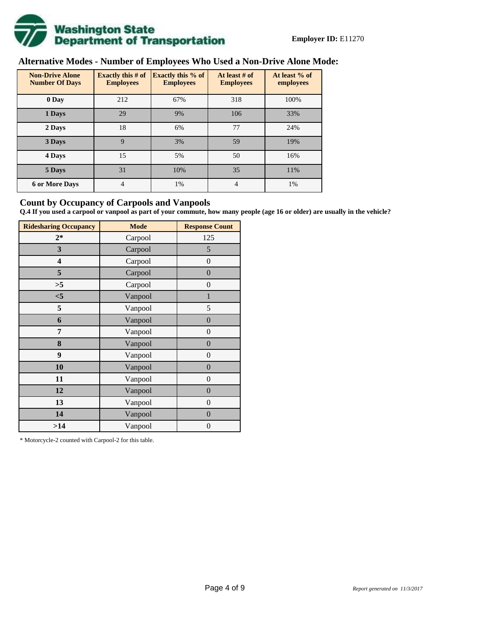

# **Alternative Modes - Number of Employees Who Used a Non-Drive Alone Mode:**

| <b>Non-Drive Alone</b><br><b>Number Of Days</b> | <b>Exactly this # of</b><br><b>Employees</b> | <b>Exactly this % of</b><br><b>Employees</b> | At least # of<br><b>Employees</b> | At least % of<br>employees |
|-------------------------------------------------|----------------------------------------------|----------------------------------------------|-----------------------------------|----------------------------|
| 0 Day                                           | 212                                          | 67%                                          | 318                               | 100%                       |
| 1 Days                                          | 29                                           | 9%                                           | 106                               | 33%                        |
| 2 Days                                          | 18                                           | 6%                                           | 77                                | 24%                        |
| 3 Days                                          | 9                                            | 3%                                           | 59                                | 19%                        |
| 4 Days                                          | 15                                           | 5%                                           | 50                                | 16%                        |
| 5 Days                                          | 31                                           | 10%                                          | 35                                | 11%                        |
| <b>6 or More Days</b>                           | 4                                            | 1%                                           | $\overline{4}$                    | 1%                         |

## **Count by Occupancy of Carpools and Vanpools**

**Q.4 If you used a carpool or vanpool as part of your commute, how many people (age 16 or older) are usually in the vehicle?**

| <b>Ridesharing Occupancy</b> | <b>Mode</b> | <b>Response Count</b> |
|------------------------------|-------------|-----------------------|
| $2*$                         | Carpool     | 125                   |
| 3                            | Carpool     | 5                     |
| 4                            | Carpool     | $\boldsymbol{0}$      |
| 5                            | Carpool     | $\boldsymbol{0}$      |
| >5                           | Carpool     | $\boldsymbol{0}$      |
| $<$ 5                        | Vanpool     | $\mathbf{1}$          |
| 5                            | Vanpool     | 5                     |
| 6                            | Vanpool     | $\boldsymbol{0}$      |
| 7                            | Vanpool     | $\boldsymbol{0}$      |
| 8                            | Vanpool     | $\overline{0}$        |
| 9                            | Vanpool     | $\overline{0}$        |
| 10                           | Vanpool     | $\overline{0}$        |
| 11                           | Vanpool     | $\boldsymbol{0}$      |
| 12                           | Vanpool     | $\boldsymbol{0}$      |
| 13                           | Vanpool     | $\boldsymbol{0}$      |
| 14                           | Vanpool     | $\overline{0}$        |
| >14                          | Vanpool     | $\boldsymbol{0}$      |

\* Motorcycle-2 counted with Carpool-2 for this table.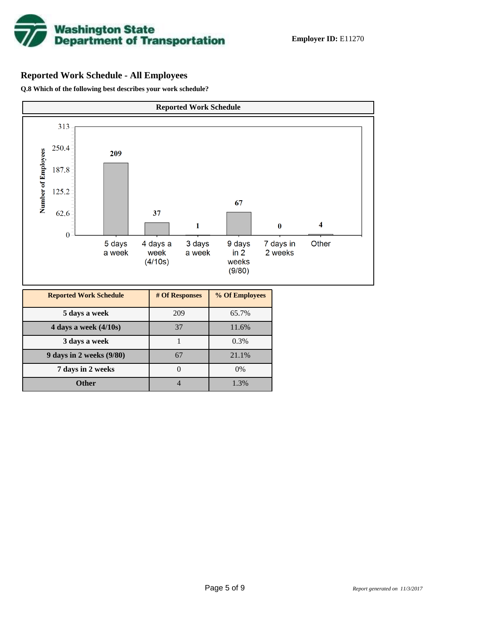

## **Reported Work Schedule - All Employees**

**Q.8 Which of the following best describes your work schedule?**

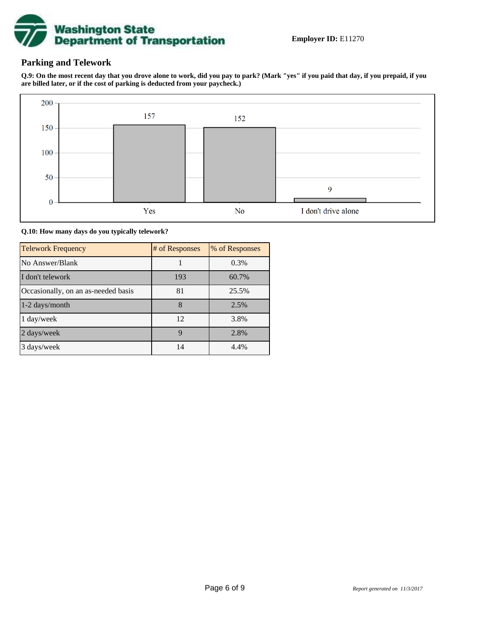

## **Parking and Telework**

**Q.9: On the most recent day that you drove alone to work, did you pay to park? (Mark "yes" if you paid that day, if you prepaid, if you are billed later, or if the cost of parking is deducted from your paycheck.)**



**Q.10: How many days do you typically telework?**

| <b>Telework Frequency</b>           | # of Responses | % of Responses |
|-------------------------------------|----------------|----------------|
| No Answer/Blank                     |                | 0.3%           |
| I don't telework                    | 193            | 60.7%          |
| Occasionally, on an as-needed basis | 81             | 25.5%          |
| 1-2 days/month                      | 8              | 2.5%           |
| 1 day/week                          | 12             | 3.8%           |
| 2 days/week                         | 9              | 2.8%           |
| 3 days/week                         | 14             | 4.4%           |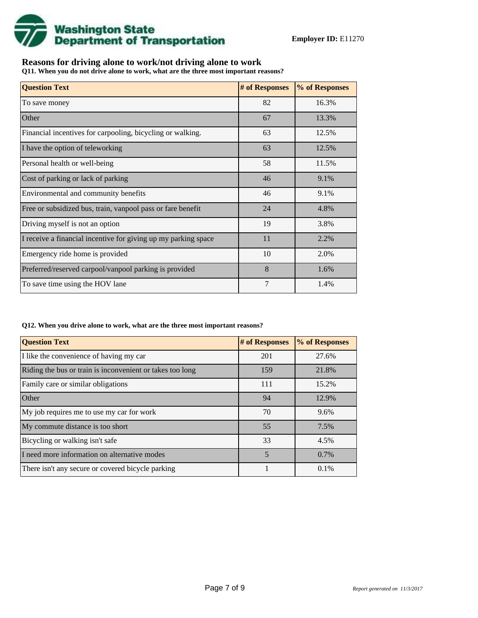

## **Reasons for driving alone to work/not driving alone to work**

**Q11. When you do not drive alone to work, what are the three most important reasons?**

| <b>Question Text</b>                                           | # of Responses | % of Responses |
|----------------------------------------------------------------|----------------|----------------|
| To save money                                                  | 82             | 16.3%          |
| Other                                                          | 67             | 13.3%          |
| Financial incentives for carpooling, bicycling or walking.     | 63             | 12.5%          |
| I have the option of teleworking                               | 63             | 12.5%          |
| Personal health or well-being                                  | 58             | 11.5%          |
| Cost of parking or lack of parking                             | 46             | 9.1%           |
| Environmental and community benefits                           | 46             | 9.1%           |
| Free or subsidized bus, train, vanpool pass or fare benefit    | 24             | 4.8%           |
| Driving myself is not an option                                | 19             | 3.8%           |
| I receive a financial incentive for giving up my parking space | 11             | 2.2%           |
| Emergency ride home is provided                                | 10             | 2.0%           |
| Preferred/reserved carpool/vanpool parking is provided         | 8              | 1.6%           |
| To save time using the HOV lane                                | 7              | 1.4%           |

#### **Q12. When you drive alone to work, what are the three most important reasons?**

| <b>Question Text</b>                                      | # of Responses | % of Responses |
|-----------------------------------------------------------|----------------|----------------|
| I like the convenience of having my car                   | 201            | 27.6%          |
| Riding the bus or train is inconvenient or takes too long | 159            | 21.8%          |
| Family care or similar obligations                        | 111            | 15.2%          |
| <b>Other</b>                                              | 94             | 12.9%          |
| My job requires me to use my car for work                 | 70             | 9.6%           |
| My commute distance is too short                          | 55             | 7.5%           |
| Bicycling or walking isn't safe                           | 33             | 4.5%           |
| I need more information on alternative modes              | 5              | 0.7%           |
| There isn't any secure or covered bicycle parking         |                | 0.1%           |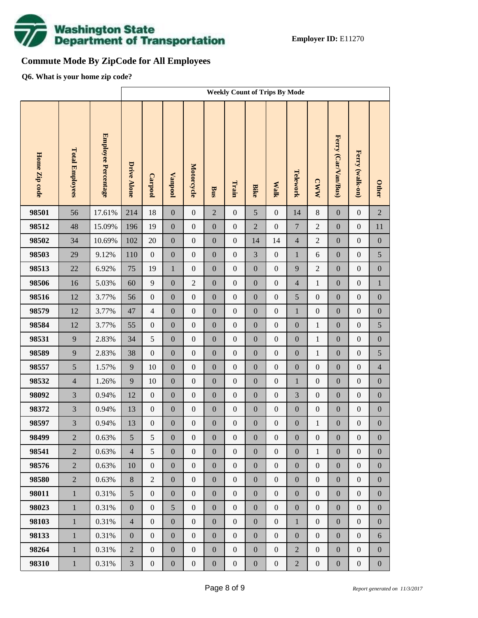

# **Commute Mode By ZipCode for All Employees**

**Q6. What is your home zip code?**

|               |                        |                            | <b>Weekly Count of Trips By Mode</b> |                  |                  |                  |                  |                  |                  |                  |                  |                  |                     |                  |                  |
|---------------|------------------------|----------------------------|--------------------------------------|------------------|------------------|------------------|------------------|------------------|------------------|------------------|------------------|------------------|---------------------|------------------|------------------|
| Home Zip code | <b>Total Employees</b> | <b>Employee Percentage</b> | <b>Drive Alone</b>                   | Carpool          | <b>Vanpool</b>   | Motorcycle       | Bus              | Train            | <b>Bike</b>      | <b>Walk</b>      | Telework         | <b>CWW</b>       | Ferry (Car/Van/Bus) | Ferry (walk-on)  | <b>Other</b>     |
| 98501         | 56                     | 17.61%                     | 214                                  | 18               | $\boldsymbol{0}$ | $\boldsymbol{0}$ | $\overline{2}$   | $\boldsymbol{0}$ | 5                | $\boldsymbol{0}$ | 14               | $8\,$            | $\mathbf{0}$        | $\boldsymbol{0}$ | $\overline{2}$   |
| 98512         | 48                     | 15.09%                     | 196                                  | 19               | $\boldsymbol{0}$ | $\boldsymbol{0}$ | $\boldsymbol{0}$ | $\boldsymbol{0}$ | $\overline{2}$   | $\boldsymbol{0}$ | $\boldsymbol{7}$ | $\overline{c}$   | $\boldsymbol{0}$    | $\boldsymbol{0}$ | $11\,$           |
| 98502         | 34                     | 10.69%                     | 102                                  | 20               | $\boldsymbol{0}$ | $\boldsymbol{0}$ | $\boldsymbol{0}$ | $\boldsymbol{0}$ | 14               | 14               | $\overline{4}$   | $\overline{c}$   | $\boldsymbol{0}$    | $\boldsymbol{0}$ | $\boldsymbol{0}$ |
| 98503         | 29                     | 9.12%                      | 110                                  | $\boldsymbol{0}$ | $\boldsymbol{0}$ | $\boldsymbol{0}$ | $\boldsymbol{0}$ | $\boldsymbol{0}$ | 3                | $\boldsymbol{0}$ | $\mathbf{1}$     | 6                | $\boldsymbol{0}$    | $\boldsymbol{0}$ | 5                |
| 98513         | 22                     | 6.92%                      | 75                                   | 19               | $\mathbf{1}$     | $\boldsymbol{0}$ | $\boldsymbol{0}$ | $\boldsymbol{0}$ | $\boldsymbol{0}$ | $\boldsymbol{0}$ | 9                | $\sqrt{2}$       | $\boldsymbol{0}$    | $\boldsymbol{0}$ | $\boldsymbol{0}$ |
| 98506         | 16                     | 5.03%                      | 60                                   | 9                | $\boldsymbol{0}$ | $\overline{2}$   | $\boldsymbol{0}$ | $\boldsymbol{0}$ | $\overline{0}$   | $\boldsymbol{0}$ | $\overline{4}$   | $\mathbf{1}$     | $\boldsymbol{0}$    | $\boldsymbol{0}$ | $\,1$            |
| 98516         | 12                     | 3.77%                      | 56                                   | $\boldsymbol{0}$ | $\boldsymbol{0}$ | $\boldsymbol{0}$ | $\boldsymbol{0}$ | $\boldsymbol{0}$ | $\boldsymbol{0}$ | $\boldsymbol{0}$ | 5                | $\boldsymbol{0}$ | $\boldsymbol{0}$    | $\boldsymbol{0}$ | $\boldsymbol{0}$ |
| 98579         | 12                     | 3.77%                      | 47                                   | $\overline{4}$   | $\boldsymbol{0}$ | $\boldsymbol{0}$ | $\boldsymbol{0}$ | $\boldsymbol{0}$ | $\overline{0}$   | $\boldsymbol{0}$ | $\mathbf{1}$     | $\boldsymbol{0}$ | $\boldsymbol{0}$    | $\boldsymbol{0}$ | $\boldsymbol{0}$ |
| 98584         | 12                     | 3.77%                      | 55                                   | $\boldsymbol{0}$ | $\boldsymbol{0}$ | $\boldsymbol{0}$ | $\boldsymbol{0}$ | $\boldsymbol{0}$ | $\boldsymbol{0}$ | $\boldsymbol{0}$ | $\boldsymbol{0}$ | $\,1$            | $\boldsymbol{0}$    | $\boldsymbol{0}$ | 5                |
| 98531         | 9                      | 2.83%                      | 34                                   | 5                | $\boldsymbol{0}$ | $\boldsymbol{0}$ | $\boldsymbol{0}$ | $\boldsymbol{0}$ | $\overline{0}$   | $\boldsymbol{0}$ | $\boldsymbol{0}$ | $\mathbf{1}$     | $\boldsymbol{0}$    | $\boldsymbol{0}$ | $\boldsymbol{0}$ |
| 98589         | 9                      | 2.83%                      | 38                                   | $\boldsymbol{0}$ | $\boldsymbol{0}$ | $\boldsymbol{0}$ | $\boldsymbol{0}$ | $\boldsymbol{0}$ | $\boldsymbol{0}$ | $\boldsymbol{0}$ | $\boldsymbol{0}$ | $\mathbf{1}$     | $\boldsymbol{0}$    | $\boldsymbol{0}$ | 5                |
| 98557         | 5                      | 1.57%                      | 9                                    | 10               | $\boldsymbol{0}$ | $\boldsymbol{0}$ | $\boldsymbol{0}$ | $\boldsymbol{0}$ | $\overline{0}$   | $\boldsymbol{0}$ | $\boldsymbol{0}$ | $\boldsymbol{0}$ | $\boldsymbol{0}$    | $\boldsymbol{0}$ | $\overline{4}$   |
| 98532         | $\overline{4}$         | 1.26%                      | 9                                    | 10               | $\boldsymbol{0}$ | $\boldsymbol{0}$ | $\boldsymbol{0}$ | $\boldsymbol{0}$ | $\boldsymbol{0}$ | $\boldsymbol{0}$ | $\mathbf{1}$     | $\boldsymbol{0}$ | $\boldsymbol{0}$    | $\boldsymbol{0}$ | $\boldsymbol{0}$ |
| 98092         | $\overline{3}$         | 0.94%                      | 12                                   | $\boldsymbol{0}$ | $\boldsymbol{0}$ | $\boldsymbol{0}$ | $\boldsymbol{0}$ | $\boldsymbol{0}$ | $\overline{0}$   | $\boldsymbol{0}$ | 3                | $\boldsymbol{0}$ | $\boldsymbol{0}$    | $\boldsymbol{0}$ | $\boldsymbol{0}$ |
| 98372         | 3                      | 0.94%                      | 13                                   | $\boldsymbol{0}$ | $\boldsymbol{0}$ | $\boldsymbol{0}$ | $\boldsymbol{0}$ | $\boldsymbol{0}$ | $\boldsymbol{0}$ | $\boldsymbol{0}$ | $\boldsymbol{0}$ | $\boldsymbol{0}$ | $\boldsymbol{0}$    | $\boldsymbol{0}$ | $\boldsymbol{0}$ |
| 98597         | $\overline{3}$         | 0.94%                      | 13                                   | $\boldsymbol{0}$ | $\boldsymbol{0}$ | $\boldsymbol{0}$ | $\boldsymbol{0}$ | $\boldsymbol{0}$ | $\mathbf{0}$     | $\boldsymbol{0}$ | $\boldsymbol{0}$ | $\mathbf{1}$     | $\boldsymbol{0}$    | $\boldsymbol{0}$ | $\boldsymbol{0}$ |
| 98499         | $\overline{2}$         | $0.63\%$                   | $5\overline{)}$                      | 5                | $\boldsymbol{0}$ | $\boldsymbol{0}$ | $\boldsymbol{0}$ | $\boldsymbol{0}$ | $\boldsymbol{0}$ | $\mathbf{0}$     | $\boldsymbol{0}$ | $\boldsymbol{0}$ | $\boldsymbol{0}$    | $\boldsymbol{0}$ | $\boldsymbol{0}$ |
| 98541         | $\overline{2}$         | 0.63%                      | $\overline{4}$                       | 5                | $\boldsymbol{0}$ | $\boldsymbol{0}$ | $\overline{0}$   | $\boldsymbol{0}$ | $\overline{0}$   | $\boldsymbol{0}$ | $\boldsymbol{0}$ | $\,1$            | $\boldsymbol{0}$    | $\boldsymbol{0}$ | $\overline{0}$   |
| 98576         | $\overline{2}$         | 0.63%                      | 10                                   | $\boldsymbol{0}$ | $\boldsymbol{0}$ | $\boldsymbol{0}$ | $\boldsymbol{0}$ | $\boldsymbol{0}$ | $\boldsymbol{0}$ | $\boldsymbol{0}$ | $\boldsymbol{0}$ | $\boldsymbol{0}$ | $\boldsymbol{0}$    | $\boldsymbol{0}$ | $\boldsymbol{0}$ |
| 98580         | $\overline{2}$         | 0.63%                      | $8\,$                                | $\overline{2}$   | $\boldsymbol{0}$ | $\boldsymbol{0}$ | $\boldsymbol{0}$ | $\boldsymbol{0}$ | $\boldsymbol{0}$ | $\boldsymbol{0}$ | $\boldsymbol{0}$ | $\boldsymbol{0}$ | $\boldsymbol{0}$    | $\boldsymbol{0}$ | $\boldsymbol{0}$ |
| 98011         | $\mathbf{1}$           | 0.31%                      | 5                                    | $\boldsymbol{0}$ | $\boldsymbol{0}$ | $\boldsymbol{0}$ | $\boldsymbol{0}$ | $\boldsymbol{0}$ | $\overline{0}$   | $\boldsymbol{0}$ | $\boldsymbol{0}$ | $\boldsymbol{0}$ | $\boldsymbol{0}$    | $\boldsymbol{0}$ | $\boldsymbol{0}$ |
| 98023         | $\mathbf{1}$           | 0.31%                      | $\boldsymbol{0}$                     | $\boldsymbol{0}$ | 5                | $\boldsymbol{0}$ | $\boldsymbol{0}$ | $\boldsymbol{0}$ | $\boldsymbol{0}$ | $\boldsymbol{0}$ | $\boldsymbol{0}$ | $\boldsymbol{0}$ | $\boldsymbol{0}$    | $\boldsymbol{0}$ | $\boldsymbol{0}$ |
| 98103         | $\mathbf{1}$           | 0.31%                      | $\overline{4}$                       | $\boldsymbol{0}$ | $\boldsymbol{0}$ | $\boldsymbol{0}$ | $\boldsymbol{0}$ | $\boldsymbol{0}$ | $\overline{0}$   | $\boldsymbol{0}$ | $\mathbf{1}$     | $\boldsymbol{0}$ | $\boldsymbol{0}$    | $\boldsymbol{0}$ | $\boldsymbol{0}$ |
| 98133         | $\mathbf{1}$           | 0.31%                      | $\boldsymbol{0}$                     | $\boldsymbol{0}$ | $\boldsymbol{0}$ | $\boldsymbol{0}$ | $\boldsymbol{0}$ | $\boldsymbol{0}$ | $\boldsymbol{0}$ | $\boldsymbol{0}$ | $\boldsymbol{0}$ | $\boldsymbol{0}$ | $\boldsymbol{0}$    | $\boldsymbol{0}$ | 6                |
| 98264         | $\mathbf{1}$           | 0.31%                      | $\overline{2}$                       | $\boldsymbol{0}$ | $\boldsymbol{0}$ | $\boldsymbol{0}$ | $\boldsymbol{0}$ | $\boldsymbol{0}$ | $\overline{0}$   | $\boldsymbol{0}$ | $\overline{2}$   | $\boldsymbol{0}$ | $\boldsymbol{0}$    | $\boldsymbol{0}$ | $\boldsymbol{0}$ |
| 98310         | $1\,$                  | 0.31%                      | $\mathfrak{Z}$                       | $\boldsymbol{0}$ | $\boldsymbol{0}$ | $\boldsymbol{0}$ | $\boldsymbol{0}$ | $\boldsymbol{0}$ | $\boldsymbol{0}$ | $\boldsymbol{0}$ | $\overline{2}$   | $\boldsymbol{0}$ | $\boldsymbol{0}$    | $\boldsymbol{0}$ | $\boldsymbol{0}$ |